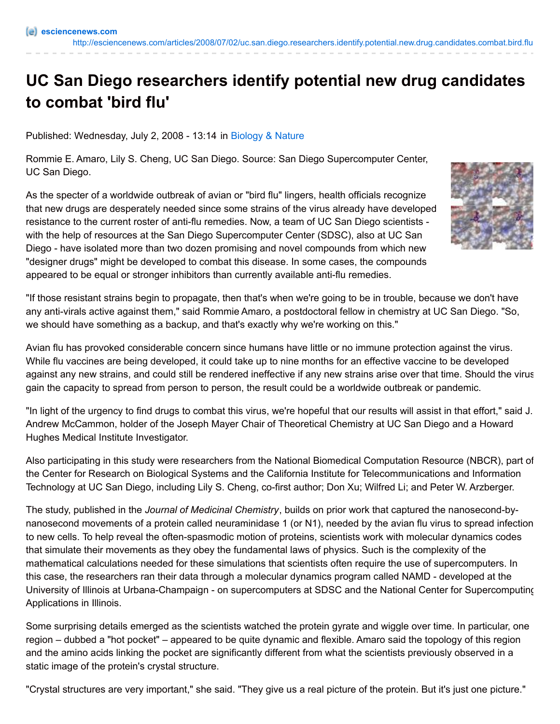## **UC San Diego researchers identify potential new drug candidates to combat 'bird flu'**

Published: Wednesday, July 2, 2008 - 13:14 in [Biology](http://esciencenews.com/topics/biology.nature) & Nature

Rommie E. Amaro, Lily S. Cheng, UC San Diego. Source: San Diego Supercomputer Center, UC San Diego.

As the specter of a worldwide outbreak of avian or "bird flu" lingers, health officials recognize that new drugs are desperately needed since some strains of the virus already have developed resistance to the current roster of anti-flu remedies. Now, a team of UC San Diego scientists with the help of resources at the San Diego Supercomputer Center (SDSC), also at UC San Diego - have isolated more than two dozen promising and novel compounds from which new "designer drugs" might be developed to combat this disease. In some cases, the compounds appeared to be equal or stronger inhibitors than currently available anti-flu remedies.



"If those resistant strains begin to propagate, then that's when we're going to be in trouble, because we don't have any anti-virals active against them," said Rommie Amaro, a postdoctoral fellow in chemistry at UC San Diego. "So, we should have something as a backup, and that's exactly why we're working on this."

Avian flu has provoked considerable concern since humans have little or no immune protection against the virus. While flu vaccines are being developed, it could take up to nine months for an effective vaccine to be developed against any new strains, and could still be rendered ineffective if any new strains arise over that time. Should the virus gain the capacity to spread from person to person, the result could be a worldwide outbreak or pandemic.

"In light of the urgency to find drugs to combat this virus, we're hopeful that our results will assist in that effort," said J. Andrew McCammon, holder of the Joseph Mayer Chair of Theoretical Chemistry at UC San Diego and a Howard Hughes Medical Institute Investigator.

Also participating in this study were researchers from the National Biomedical Computation Resource (NBCR), part of the Center for Research on Biological Systems and the California Institute for Telecommunications and Information Technology at UC San Diego, including Lily S. Cheng, co-first author; Don Xu; Wilfred Li; and Peter W. Arzberger.

The study, published in the *Journal of Medicinal Chemistry*, builds on prior work that captured the nanosecond-bynanosecond movements of a protein called neuraminidase 1 (or N1), needed by the avian flu virus to spread infection to new cells. To help reveal the often-spasmodic motion of proteins, scientists work with molecular dynamics codes that simulate their movements as they obey the fundamental laws of physics. Such is the complexity of the mathematical calculations needed for these simulations that scientists often require the use of supercomputers. In this case, the researchers ran their data through a molecular dynamics program called NAMD - developed at the University of Illinois at Urbana-Champaign - on supercomputers at SDSC and the National Center for Supercomputing Applications in Illinois.

Some surprising details emerged as the scientists watched the protein gyrate and wiggle over time. In particular, one region – dubbed a "hot pocket" – appeared to be quite dynamic and flexible. Amaro said the topology of this region and the amino acids linking the pocket are significantly different from what the scientists previously observed in a static image of the protein's crystal structure.

"Crystal structures are very important," she said. "They give us a real picture of the protein. But it's just one picture."